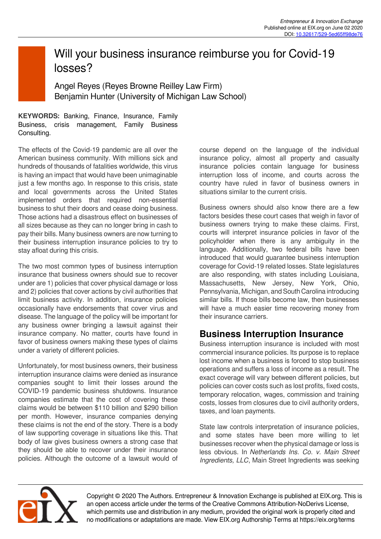# Will your business insurance reimburse you for Covid-19 losses?

Angel Reyes (Reyes Browne Reilley Law Firm) Benjamin Hunter (University of Michigan Law School)

**KEYWORDS:** Banking, Finance, Insurance, Family Business, crisis management, Family Business Consulting.

The effects of the Covid-19 pandemic are all over the American business community. With millions sick and hundreds of thousands of fatalities worldwide, this virus is having an impact that would have been unimaginable just a few months ago. In response to this crisis, state and local governments across the United States implemented orders that required non-essential business to shut their doors and cease doing business. Those actions had a disastrous effect on businesses of all sizes because as they can no longer bring in cash to pay their bills. Many business owners are now turning to their business interruption insurance policies to try to stay afloat during this crisis.

The two most common types of business interruption insurance that business owners should sue to recover under are 1) policies that cover physical damage or loss and 2) policies that cover actions by civil authorities that limit business activity. In addition, insurance policies occasionally have endorsements that cover virus and disease. The language of the policy will be important for any business owner bringing a lawsuit against their insurance company. No matter, courts have found in favor of business owners making these types of claims under a variety of different policies.

Unfortunately, for most business owners, their business interruption insurance claims were denied as insurance companies sought to limit their losses around the COVID-19 pandemic business shutdowns. Insurance companies estimate that the cost of covering these claims would be between \$110 billion and \$290 billion per month. However, insurance companies denying these claims is not the end of the story. There is a body of law supporting coverage in situations like this. That body of law gives business owners a strong case that they should be able to recover under their insurance policies. Although the outcome of a lawsuit would of course depend on the language of the individual insurance policy, almost all property and casualty insurance policies contain language for business interruption loss of income, and courts across the country have ruled in favor of business owners in situations similar to the current crisis.

Business owners should also know there are a few factors besides these court cases that weigh in favor of business owners trying to make these claims. First, courts will interpret insurance policies in favor of the policyholder when there is any ambiguity in the language. Additionally, two federal bills have been introduced that would guarantee business interruption coverage for Covid-19 related losses. State legislatures are also responding, with states including Louisiana, Massachusetts, New Jersey, New York, Ohio, Pennsylvania, Michigan, and South Carolina introducing similar bills. If those bills become law, then businesses will have a much easier time recovering money from their insurance carriers.

### **Business Interruption Insurance**

Business interruption insurance is included with most commercial insurance policies. Its purpose is to replace lost income when a business is forced to stop business operations and suffers a loss of income as a result. The exact coverage will vary between different policies, but policies can cover costs such as lost profits, fixed costs, temporary relocation, wages, commission and training costs, losses from closures due to civil authority orders, taxes, and loan payments.

State law controls interpretation of insurance policies, and some states have been more willing to let businesses recover when the physical damage or loss is less obvious. In *Netherlands Ins. Co. v. Main Street Ingredients, LLC*, Main Street Ingredients was seeking



Copyright © 2020 The Authors. Entrepreneur & Innovation Exchange is published at EIX.org. This is an open access article under the terms of the Creative Commons Attribution-NoDerivs License, which permits use and distribution in any medium, provided the original work is properly cited and no modifications or adaptations are made. View EIX.org Authorship Terms at https://eix.org/terms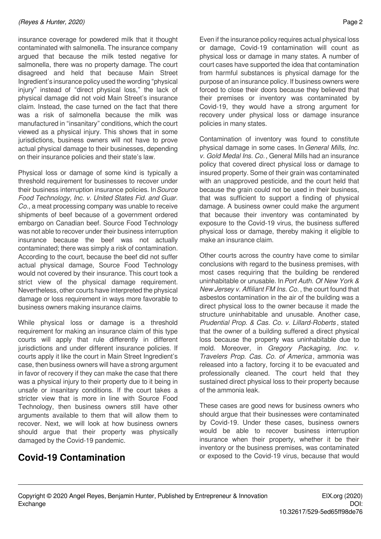#### *(Reyes & Hunter, 2020)* Page 2

insurance coverage for powdered milk that it thought contaminated with salmonella. The insurance company argued that because the milk tested negative for salmonella, there was no property damage. The court disagreed and held that because Main Street Ingredient's insurance policy used the wording "physical injury" instead of "direct physical loss," the lack of physical damage did not void Main Street's insurance claim. Instead, the case turned on the fact that there was a risk of salmonella because the milk was manufactured in "insanitary" conditions, which the court viewed as a physical injury. This shows that in some jurisdictions, business owners will not have to prove actual physical damage to their businesses, depending on their insurance policies and their state's law.

Physical loss or damage of some kind is typically a threshold requirement for businesses to recover under their business interruption insurance policies. In*Source Food Technology, Inc. v. United States Fid. and Guar. Co.*, a meat processing company was unable to receive shipments of beef because of a government ordered embargo on Canadian beef. Source Food Technology was not able to recover under their business interruption insurance because the beef was not actually contaminated; there was simply a risk of contamination. According to the court, because the beef did not suffer actual physical damage, Source Food Technology would not covered by their insurance. This court took a strict view of the physical damage requirement. Nevertheless, other courts have interpreted the physical damage or loss requirement in ways more favorable to business owners making insurance claims.

While physical loss or damage is a threshold requirement for making an insurance claim of this type courts will apply that rule differently in different jurisdictions and under different insurance policies. If courts apply it like the court in Main Street Ingredient's case, then business owners will have a strong argument in favor of recovery if they can make the case that there was a physical injury to their property due to it being in unsafe or insanitary conditions. If the court takes a stricter view that is more in line with Source Food Technology, then business owners still have other arguments available to them that will allow them to recover. Next, we will look at how business owners should argue that their property was physically damaged by the Covid-19 pandemic.

### **Covid-19 Contamination**

Even if the insurance policy requires actual physical loss or damage, Covid-19 contamination will count as physical loss or damage in many states. A number of court cases have supported the idea that contamination from harmful substances is physical damage for the purpose of an insurance policy. If business owners were forced to close their doors because they believed that their premises or inventory was contaminated by Covid-19, they would have a strong argument for recovery under physical loss or damage insurance policies in many states.

Contamination of inventory was found to constitute physical damage in some cases. In *General Mills, Inc. v. Gold Medal Ins. Co.*, General Mills had an insurance policy that covered direct physical loss or damage to insured property. Some of their grain was contaminated with an unapproved pesticide, and the court held that because the grain could not be used in their business, that was sufficient to support a finding of physical damage. A business owner could make the argument that because their inventory was contaminated by exposure to the Covid-19 virus, the business suffered physical loss or damage, thereby making it eligible to make an insurance claim.

Other courts across the country have come to similar conclusions with regard to the business premises, with most cases requiring that the building be rendered uninhabitable or unusable. In*Port Auth. Of New York & New Jersey v. Affiliant FM Ins. Co.* , the court found that asbestos contamination in the air of the building was a direct physical loss to the owner because it made the structure uninhabitable and unusable. Another case, *Prudential Prop. & Cas. Co. v. Lillard-Roberts* , stated that the owner of a building suffered a direct physical loss because the property was uninhabitable due to mold. Moreover, in *Gregory Packaging, Inc. v. Travelers Prop. Cas. Co. of America* , ammonia was released into a factory, forcing it to be evacuated and professionally cleaned. The court held that they sustained direct physical loss to their property because of the ammonia leak.

These cases are good news for business owners who should argue that their businesses were contaminated by Covid-19. Under these cases, business owners would be able to recover business interruption insurance when their property, whether it be their inventory or the business premises, was contaminated or exposed to the Covid-19 virus, because that would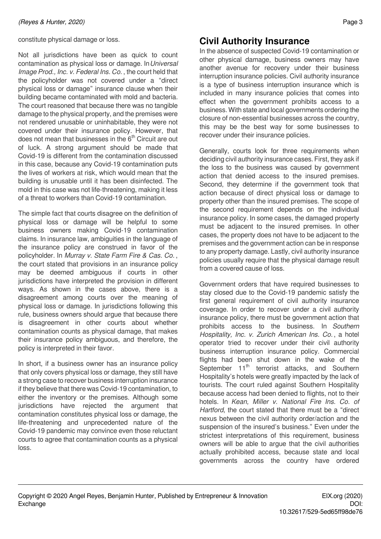constitute physical damage or loss.

Not all jurisdictions have been as quick to count contamination as physical loss or damage. In*Universal Image Prod., Inc. v. Federal Ins. Co.* , the court held that the policyholder was not covered under a "direct physical loss or damage" insurance clause when their building became contaminated with mold and bacteria. The court reasoned that because there was no tangible damage to the physical property, and the premises were not rendered unusable or uninhabitable, they were not covered under their insurance policy. However, that does not mean that businesses in the  $6<sup>th</sup>$  Circuit are out of luck. A strong argument should be made that Covid-19 is different from the contamination discussed in this case, because any Covid-19 contamination puts the lives of workers at risk, which would mean that the building is unusable until it has been disinfected. The mold in this case was not life-threatening, making it less of a threat to workers than Covid-19 contamination.

The simple fact that courts disagree on the definition of physical loss or damage will be helpful to some business owners making Covid-19 contamination claims. In insurance law, ambiguities in the language of the insurance policy are construed in favor of the policyholder. In *Murray v. State Farm Fire & Cas. Co.* , the court stated that provisions in an insurance policy may be deemed ambiguous if courts in other jurisdictions have interpreted the provision in different ways. As shown in the cases above, there is a disagreement among courts over the meaning of physical loss or damage. In jurisdictions following this rule, business owners should argue that because there is disagreement in other courts about whether contamination counts as physical damage, that makes their insurance policy ambiguous, and therefore, the policy is interpreted in their favor.

In short, if a business owner has an insurance policy that only covers physical loss or damage, they still have a strong case to recover business interruption insurance if they believe that there was Covid-19 contamination, to either the inventory or the premises. Although some jurisdictions have rejected the argument that contamination constitutes physical loss or damage, the life-threatening and unprecedented nature of the Covid-19 pandemic may convince even those reluctant courts to agree that contamination counts as a physical loss.

# **Civil Authority Insurance**

In the absence of suspected Covid-19 contamination or other physical damage, business owners may have another avenue for recovery under their business interruption insurance policies. Civil authority insurance is a type of business interruption insurance which is included in many insurance policies that comes into effect when the government prohibits access to a business. With state and local governments ordering the closure of non-essential businesses across the country, this may be the best way for some businesses to recover under their insurance policies.

Generally, courts look for three requirements when deciding civil authority insurance cases. First, they ask if the loss to the business was caused by government action that denied access to the insured premises. Second, they determine if the government took that action because of direct physical loss or damage to property other than the insured premises. The scope of the second requirement depends on the individual insurance policy. In some cases, the damaged property must be adjacent to the insured premises. In other cases, the property does not have to be adjacent to the premises and the government action can be in response to any property damage. Lastly, civil authority insurance policies usually require that the physical damage result from a covered cause of loss.

Government orders that have required businesses to stay closed due to the Covid-19 pandemic satisfy the first general requirement of civil authority insurance coverage. In order to recover under a civil authority insurance policy, there must be government action that prohibits access to the business. In *Southern Hospitality, Inc. v. Zurich American Ins. Co.* , a hotel operator tried to recover under their civil authority business interruption insurance policy. Commercial flights had been shut down in the wake of the September 11<sup>th</sup> terrorist attacks, and Southern Hospitality's hotels were greatly impacted by the lack of tourists. The court ruled against Southern Hospitality because access had been denied to flights, not to their hotels. In *Kean, Miller v. National Fire Ins. Co. of Hartford*, the court stated that there must be a "direct nexus between the civil authority order/action and the suspension of the insured's business." Even under the strictest interpretations of this requirement, business owners will be able to argue that the civil authorities actually prohibited access, because state and local governments across the country have ordered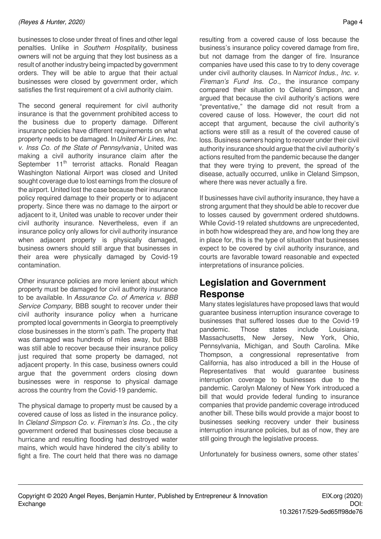businesses to close under threat of fines and other legal penalties. Unlike in *Southern Hospitality*, business owners will not be arguing that they lost business as a result of another industry being impacted by government orders. They will be able to argue that their actual businesses were closed by government order, which satisfies the first requirement of a civil authority claim.

The second general requirement for civil authority insurance is that the government prohibited access to the business due to property damage. Different insurance policies have different requirements on what property needs to be damaged. In*United Air Lines, Inc. v. Inss Co. of the State of Pennsylvania* , United was making a civil authority insurance claim after the September 11<sup>th</sup> terrorist attacks. Ronald Reagan Washington National Airport was closed and United sought coverage due to lost earnings from the closure of the airport. United lost the case because their insurance policy required damage to their property or to adjacent property. Since there was no damage to the airport or adjacent to it, United was unable to recover under their civil authority insurance. Nevertheless, even if an insurance policy only allows for civil authority insurance when adjacent property is physically damaged, business owners should still argue that businesses in their area were physically damaged by Covid-19 contamination.

Other insurance policies are more lenient about which property must be damaged for civil authority insurance to be available. In *Assurance Co. of America v. BBB Service Company,* BBB sought to recover under their civil authority insurance policy when a hurricane prompted local governments in Georgia to preemptively close businesses in the storm's path. The property that was damaged was hundreds of miles away, but BBB was still able to recover because their insurance policy just required that some property be damaged, not adjacent property. In this case, business owners could argue that the government orders closing down businesses were in response to physical damage across the country from the Covid-19 pandemic.

The physical damage to property must be caused by a covered cause of loss as listed in the insurance policy. In *Cleland Simpson Co. v. Fireman's Ins. Co.* , the city government ordered that businesses close because a hurricane and resulting flooding had destroyed water mains, which would have hindered the city's ability to fight a fire. The court held that there was no damage resulting from a covered cause of loss because the business's insurance policy covered damage from fire, but not damage from the danger of fire. Insurance companies have used this case to try to deny coverage under civil authority clauses. In *Narricot Indus., Inc. v. Fireman's Fund Ins. Co*., the insurance company compared their situation to Cleland Simpson, and argued that because the civil authority's actions were "preventative," the damage did not result from a covered cause of loss. However, the court did not accept that argument, because the civil authority's actions were still as a result of the covered cause of loss. Business owners hoping to recover under their civil authority insurance should argue that the civil authority's actions resulted from the pandemic because the danger that they were trying to prevent, the spread of the disease, actually occurred, unlike in Cleland Simpson, where there was never actually a fire.

If businesses have civil authority insurance, they have a strong argument that they should be able to recover due to losses caused by government ordered shutdowns. While Covid-19 related shutdowns are unprecedented, in both how widespread they are, and how long they are in place for, this is the type of situation that businesses expect to be covered by civil authority insurance, and courts are favorable toward reasonable and expected interpretations of insurance policies.

# **Legislation and Government Response**

Many states legislatures have proposed laws that would guarantee business interruption insurance coverage to businesses that suffered losses due to the Covid-19 pandemic. Those states include Louisiana, Massachusetts, New Jersey, New York, Ohio, Pennsylvania, Michigan, and South Carolina. Mike Thompson, a congressional representative from California, has also introduced a bill in the House of Representatives that would guarantee business interruption coverage to businesses due to the pandemic. Carolyn Maloney of New York introduced a bill that would provide federal funding to insurance companies that provide pandemic coverage introduced another bill. These bills would provide a major boost to businesses seeking recovery under their business interruption insurance policies, but as of now, they are still going through the legislative process.

Unfortunately for business owners, some other states'